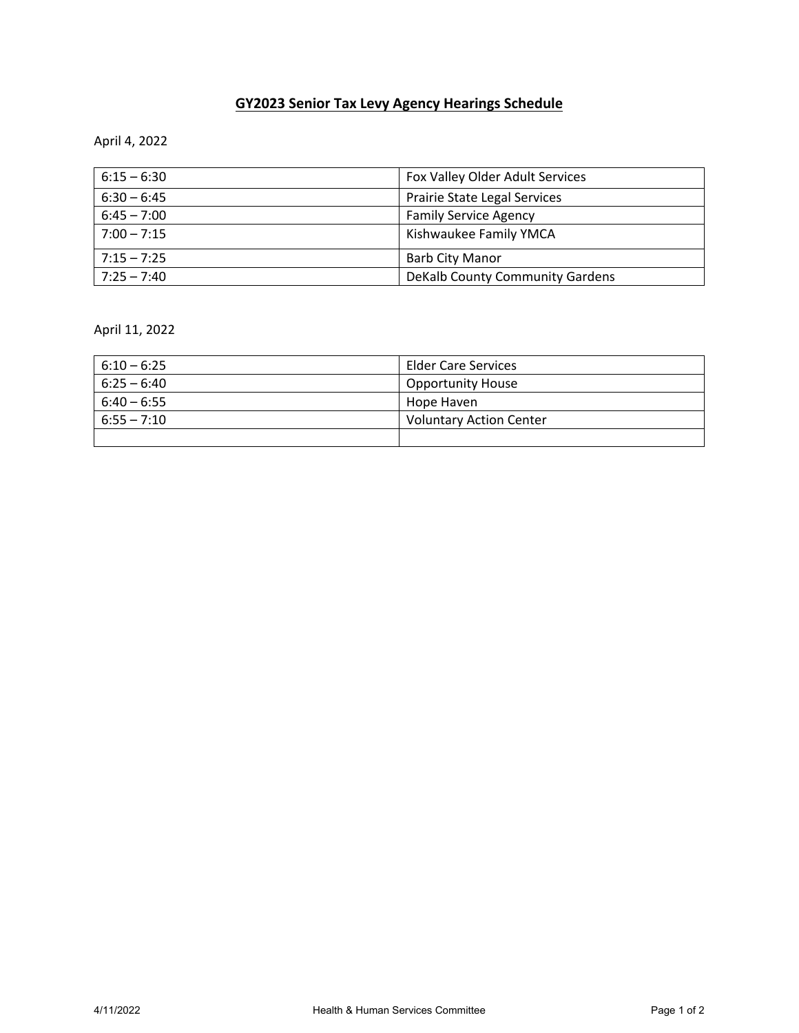## **GY2023 Senior Tax Levy Agency Hearings Schedule**

April 4, 2022

| $6:15 - 6:30$ | Fox Valley Older Adult Services |
|---------------|---------------------------------|
| $6:30 - 6:45$ | Prairie State Legal Services    |
| $6:45 - 7:00$ | <b>Family Service Agency</b>    |
| $7:00 - 7:15$ | Kishwaukee Family YMCA          |
| $7:15 - 7:25$ | <b>Barb City Manor</b>          |
| $7:25 - 7:40$ | DeKalb County Community Gardens |

April 11, 2022

| $6:10 - 6:25$ | <b>Elder Care Services</b>     |
|---------------|--------------------------------|
| $6:25 - 6:40$ | <b>Opportunity House</b>       |
| $6:40 - 6:55$ | Hope Haven                     |
| $6:55 - 7:10$ | <b>Voluntary Action Center</b> |
|               |                                |